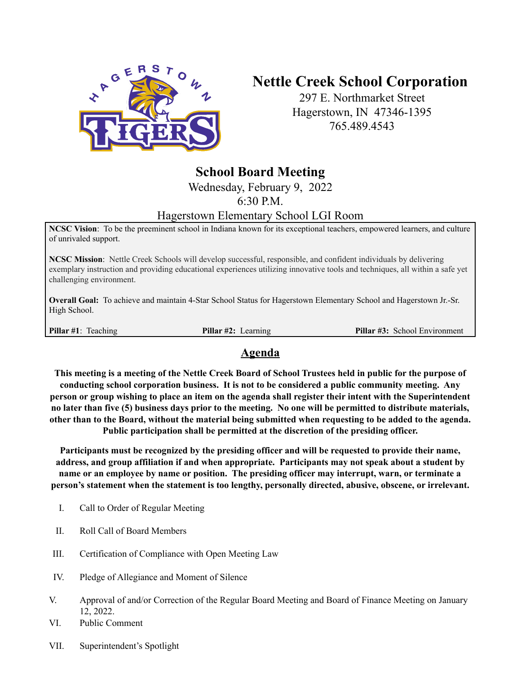

## **Nettle Creek School Corporation**

297 E. Northmarket Street Hagerstown, IN 47346-1395 765.489.4543

## **School Board Meeting**

Wednesday, February 9, 2022

6:30 P.M.

## Hagerstown Elementary School LGI Room

**NCSC Vision**: To be the preeminent school in Indiana known for its exceptional teachers, empowered learners, and culture of unrivaled support.

**NCSC Mission**: Nettle Creek Schools will develop successful, responsible, and confident individuals by delivering exemplary instruction and providing educational experiences utilizing innovative tools and techniques, all within a safe yet challenging environment.

**Overall Goal:** To achieve and maintain 4-Star School Status for Hagerstown Elementary School and Hagerstown Jr.-Sr. High School.

**Pillar #1**: Teaching **Pillar #2:** Learning **Pillar #3:** School Environment

## **Agenda**

This meeting is a meeting of the Nettle Creek Board of School Trustees held in public for the purpose of **conducting school corporation business. It is not to be considered a public community meeting. Any** person or group wishing to place an item on the agenda shall register their intent with the Superintendent no later than five (5) business days prior to the meeting. No one will be permitted to distribute materials, other than to the Board, without the material being submitted when requesting to be added to the agenda. **Public participation shall be permitted at the discretion of the presiding officer.**

**Participants must be recognized by the presiding officer and will be requested to provide their name, address, and group affiliation if and when appropriate. Participants may not speak about a student by name or an employee by name or position. The presiding officer may interrupt, warn, or terminate a person's statement when the statement is too lengthy, personally directed, abusive, obscene, or irrelevant.**

- I. Call to Order of Regular Meeting
- II. Roll Call of Board Members
- III. Certification of Compliance with Open Meeting Law
- IV. Pledge of Allegiance and Moment of Silence
- V. Approval of and/or Correction of the Regular Board Meeting and Board of Finance Meeting on January 12, 2022.
- VI. Public Comment
- VII. Superintendent's Spotlight